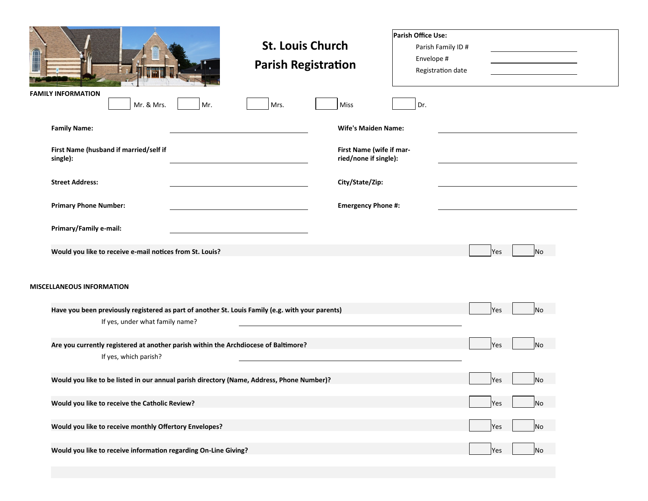| Î                                                                                                                                   | <b>St. Louis Church</b><br><b>Parish Registration</b> | Parish Office Use:<br>Parish Family ID #<br>Envelope #<br>Registration date |                  |
|-------------------------------------------------------------------------------------------------------------------------------------|-------------------------------------------------------|-----------------------------------------------------------------------------|------------------|
| <b>FAMILY INFORMATION</b><br>Mr. & Mrs.<br>Mr.                                                                                      | Mrs.<br>Miss                                          | Dr.                                                                         |                  |
| <b>Family Name:</b>                                                                                                                 | <b>Wife's Maiden Name:</b>                            |                                                                             |                  |
| First Name (husband if married/self if<br>single):                                                                                  | First Name (wife if mar-<br>ried/none if single):     |                                                                             |                  |
| <b>Street Address:</b>                                                                                                              | City/State/Zip:                                       |                                                                             |                  |
| <b>Primary Phone Number:</b>                                                                                                        | <b>Emergency Phone #:</b>                             |                                                                             |                  |
| Primary/Family e-mail:                                                                                                              |                                                       |                                                                             |                  |
| Would you like to receive e-mail notices from St. Louis?                                                                            |                                                       |                                                                             | <b>No</b><br>Yes |
| <b>MISCELLANEOUS INFORMATION</b>                                                                                                    |                                                       |                                                                             |                  |
| Have you been previously registered as part of another St. Louis Family (e.g. with your parents)<br>If yes, under what family name? |                                                       |                                                                             | <b>No</b><br>Yes |
| Are you currently registered at another parish within the Archdiocese of Baltimore?<br>If yes, which parish?                        |                                                       |                                                                             | <b>No</b><br>Yes |
| Would you like to be listed in our annual parish directory (Name, Address, Phone Number)?                                           |                                                       |                                                                             | No<br>Yes        |
| Would you like to receive the Catholic Review?                                                                                      |                                                       |                                                                             | <b>No</b><br>Yes |
| Would you like to receive monthly Offertory Envelopes?                                                                              |                                                       |                                                                             | No<br>Yes        |
| Would you like to receive information regarding On-Line Giving?                                                                     |                                                       |                                                                             | No<br>Yes        |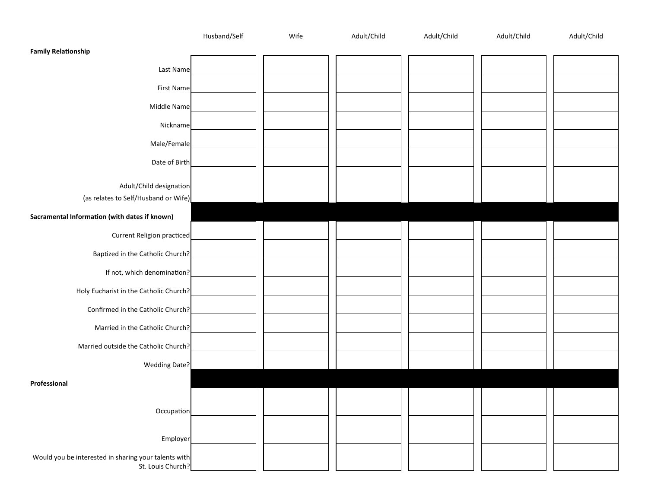|                                                                           | Husband/Self | Wife | Adult/Child | Adult/Child | Adult/Child | Adult/Child |
|---------------------------------------------------------------------------|--------------|------|-------------|-------------|-------------|-------------|
| <b>Family Relationship</b>                                                |              |      |             |             |             |             |
| Last Name                                                                 |              |      |             |             |             |             |
| <b>First Name</b>                                                         |              |      |             |             |             |             |
| Middle Name                                                               |              |      |             |             |             |             |
| Nickname                                                                  |              |      |             |             |             |             |
| Male/Female                                                               |              |      |             |             |             |             |
| Date of Birth                                                             |              |      |             |             |             |             |
| Adult/Child designation<br>(as relates to Self/Husband or Wife)           |              |      |             |             |             |             |
| Sacramental Information (with dates if known)                             |              |      |             |             |             |             |
|                                                                           |              |      |             |             |             |             |
| <b>Current Religion practiced</b>                                         |              |      |             |             |             |             |
| Baptized in the Catholic Church?                                          |              |      |             |             |             |             |
| If not, which denomination?                                               |              |      |             |             |             |             |
| Holy Eucharist in the Catholic Church?                                    |              |      |             |             |             |             |
| Confirmed in the Catholic Church?                                         |              |      |             |             |             |             |
| Married in the Catholic Church?                                           |              |      |             |             |             |             |
| Married outside the Catholic Church?                                      |              |      |             |             |             |             |
| <b>Wedding Date?</b>                                                      |              |      |             |             |             |             |
| Professional                                                              |              |      |             |             |             |             |
|                                                                           |              |      |             |             |             |             |
| Occupation                                                                |              |      |             |             |             |             |
| Employer                                                                  |              |      |             |             |             |             |
| Would you be interested in sharing your talents with<br>St. Louis Church? |              |      |             |             |             |             |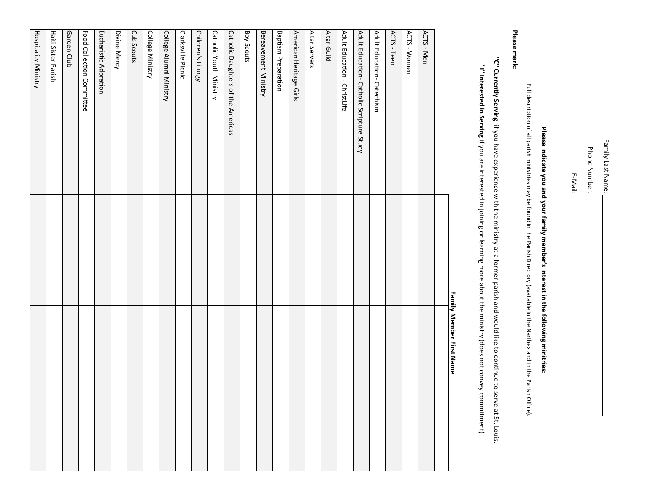| 1           |  |
|-------------|--|
| ٢<br>ι<br>í |  |
|             |  |

Phone Number: Phone Number:

E-Mail:

## Please indicate you and your family member's interest in the following minitries: **Please indicate you and your family member's interest in the following minitries:**

Full description of all parish ministries may be found in the Parish Directory (available in the Narthex and in the Parish Office). Full description of all parish ministries may be found in the Parish Directory (available in the Narthex and in the Parish Office).

Please mark: **Please mark:**

"C" Currently Serving if you have experience with the ministry at a former parish and would like to continue to serve at St. Louis. **"C" Currently Serving** if you have experience with the ministry at a former parish and would like to continue to serve at St. Louis.

"I" Interested in Serving if you are interested in joining or learning more about the ministry (does not convey commitment). **"I" Interested in Serving** if you are interested in joining or learning more about the ministry (does not convey commitment).

|                                           |  | <b>Family Member First Name</b> |  |
|-------------------------------------------|--|---------------------------------|--|
|                                           |  |                                 |  |
| ACTS - Men                                |  |                                 |  |
| ACTS - Women                              |  |                                 |  |
| ACTS - Teen                               |  |                                 |  |
| Adult Education- Catechism                |  |                                 |  |
| Adult Education- Catholic Scripture Study |  |                                 |  |
| Adult Education - ChristLife              |  |                                 |  |
| Altar Guild                               |  |                                 |  |
| Altar Servers                             |  |                                 |  |
| American Heritage Girls                   |  |                                 |  |
| <b>Baptism Preparation</b>                |  |                                 |  |
| Bereavement Ministry                      |  |                                 |  |
| Boy Scouts                                |  |                                 |  |
| Catholic Daughters of the Americas        |  |                                 |  |
| Catholic Youth Ministry                   |  |                                 |  |
| Children's Liturgy                        |  |                                 |  |
| Clarksville Picnic                        |  |                                 |  |
| College Alumni Ministry                   |  |                                 |  |
| College Ministry                          |  |                                 |  |
| Cub Scouts                                |  |                                 |  |
| Divine Mercy                              |  |                                 |  |
| Eucharistic Adoration                     |  |                                 |  |
| Food Collection Committee                 |  |                                 |  |
| Garden Club                               |  |                                 |  |
| Haiti Sister Parish                       |  |                                 |  |
| <b>Hospitality Ministry</b>               |  |                                 |  |